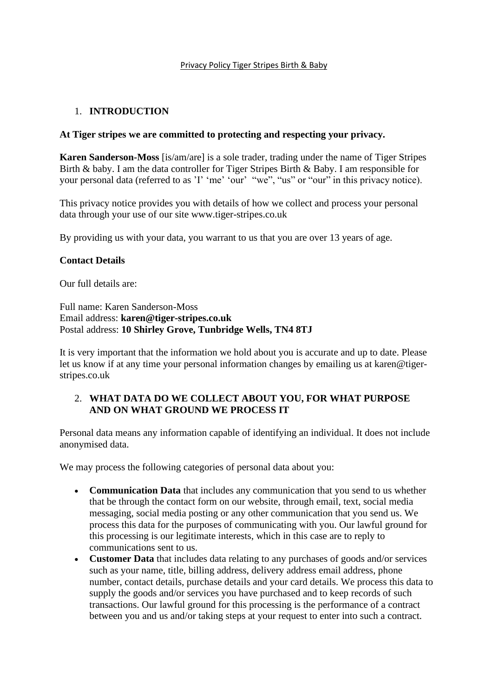#### Privacy Policy Tiger Stripes Birth & Baby

#### 1. **INTRODUCTION**

#### **At Tiger stripes we are committed to protecting and respecting your privacy.**

**Karen Sanderson-Moss** [is/am/are] is a sole trader, trading under the name of Tiger Stripes Birth & baby. I am the data controller for Tiger Stripes Birth & Baby. I am responsible for your personal data (referred to as 'I' 'me' 'our' "we", "us" or "our" in this privacy notice).

This privacy notice provides you with details of how we collect and process your personal data through your use of our site www.tiger-stripes.co.uk

By providing us with your data, you warrant to us that you are over 13 years of age.

#### **Contact Details**

Our full details are:

Full name: Karen Sanderson-Moss Email address: **karen@tiger-stripes.co.uk** Postal address: **10 Shirley Grove, Tunbridge Wells, TN4 8TJ**

It is very important that the information we hold about you is accurate and up to date. Please let us know if at any time your personal information changes by emailing us at karen@tigerstripes.co.uk

### 2. **WHAT DATA DO WE COLLECT ABOUT YOU, FOR WHAT PURPOSE AND ON WHAT GROUND WE PROCESS IT**

Personal data means any information capable of identifying an individual. It does not include anonymised data.

We may process the following categories of personal data about you:

- **Communication Data** that includes any communication that you send to us whether that be through the contact form on our website, through email, text, social media messaging, social media posting or any other communication that you send us. We process this data for the purposes of communicating with you. Our lawful ground for this processing is our legitimate interests, which in this case are to reply to communications sent to us.
- **Customer Data** that includes data relating to any purchases of goods and/or services such as your name, title, billing address, delivery address email address, phone number, contact details, purchase details and your card details. We process this data to supply the goods and/or services you have purchased and to keep records of such transactions. Our lawful ground for this processing is the performance of a contract between you and us and/or taking steps at your request to enter into such a contract.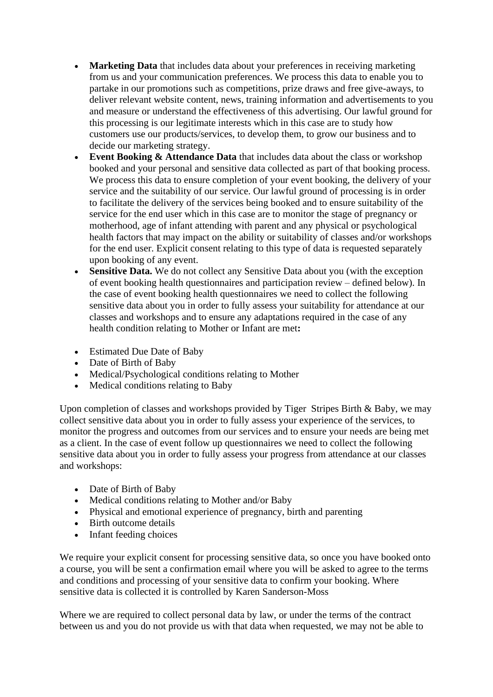- **Marketing Data** that includes data about your preferences in receiving marketing from us and your communication preferences. We process this data to enable you to partake in our promotions such as competitions, prize draws and free give-aways, to deliver relevant website content, news, training information and advertisements to you and measure or understand the effectiveness of this advertising. Our lawful ground for this processing is our legitimate interests which in this case are to study how customers use our products/services, to develop them, to grow our business and to decide our marketing strategy.
- **Event Booking & Attendance Data** that includes data about the class or workshop booked and your personal and sensitive data collected as part of that booking process. We process this data to ensure completion of your event booking, the delivery of your service and the suitability of our service. Our lawful ground of processing is in order to facilitate the delivery of the services being booked and to ensure suitability of the service for the end user which in this case are to monitor the stage of pregnancy or motherhood, age of infant attending with parent and any physical or psychological health factors that may impact on the ability or suitability of classes and/or workshops for the end user. Explicit consent relating to this type of data is requested separately upon booking of any event.
- **Sensitive Data.** We do not collect any Sensitive Data about you (with the exception of event booking health questionnaires and participation review – defined below). In the case of event booking health questionnaires we need to collect the following sensitive data about you in order to fully assess your suitability for attendance at our classes and workshops and to ensure any adaptations required in the case of any health condition relating to Mother or Infant are met**:**
- Estimated Due Date of Baby
- Date of Birth of Baby
- Medical/Psychological conditions relating to Mother
- Medical conditions relating to Baby

Upon completion of classes and workshops provided by Tiger Stripes Birth & Baby, we may collect sensitive data about you in order to fully assess your experience of the services, to monitor the progress and outcomes from our services and to ensure your needs are being met as a client. In the case of event follow up questionnaires we need to collect the following sensitive data about you in order to fully assess your progress from attendance at our classes and workshops:

- Date of Birth of Baby
- Medical conditions relating to Mother and/or Baby
- Physical and emotional experience of pregnancy, birth and parenting
- Birth outcome details
- Infant feeding choices

We require your explicit consent for processing sensitive data, so once you have booked onto a course, you will be sent a confirmation email where you will be asked to agree to the terms and conditions and processing of your sensitive data to confirm your booking. Where sensitive data is collected it is controlled by Karen Sanderson-Moss

Where we are required to collect personal data by law, or under the terms of the contract between us and you do not provide us with that data when requested, we may not be able to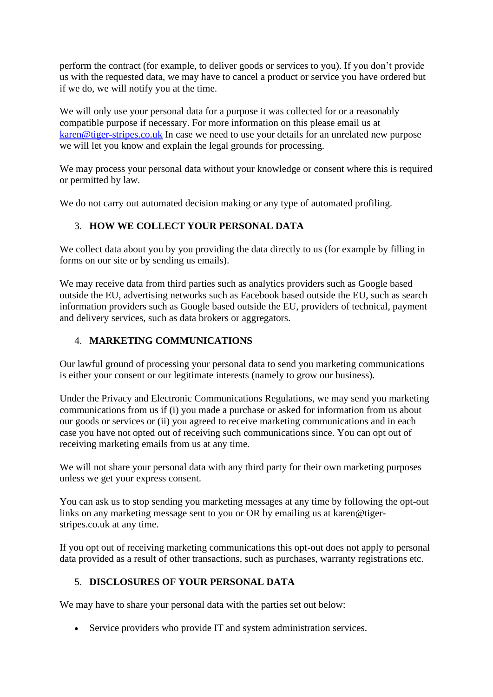perform the contract (for example, to deliver goods or services to you). If you don't provide us with the requested data, we may have to cancel a product or service you have ordered but if we do, we will notify you at the time.

We will only use your personal data for a purpose it was collected for or a reasonably compatible purpose if necessary. For more information on this please email us at [karen@tiger-stripes.co.uk](mailto:karen@tiger-stripes.co.uk) In case we need to use your details for an unrelated new purpose we will let you know and explain the legal grounds for processing.

We may process your personal data without your knowledge or consent where this is required or permitted by law.

We do not carry out automated decision making or any type of automated profiling.

## 3. **HOW WE COLLECT YOUR PERSONAL DATA**

We collect data about you by you providing the data directly to us (for example by filling in forms on our site or by sending us emails).

We may receive data from third parties such as analytics providers such as Google based outside the EU, advertising networks such as Facebook based outside the EU, such as search information providers such as Google based outside the EU, providers of technical, payment and delivery services, such as data brokers or aggregators.

## 4. **MARKETING COMMUNICATIONS**

Our lawful ground of processing your personal data to send you marketing communications is either your consent or our legitimate interests (namely to grow our business).

Under the Privacy and Electronic Communications Regulations, we may send you marketing communications from us if (i) you made a purchase or asked for information from us about our goods or services or (ii) you agreed to receive marketing communications and in each case you have not opted out of receiving such communications since. You can opt out of receiving marketing emails from us at any time.

We will not share your personal data with any third party for their own marketing purposes unless we get your express consent.

You can ask us to stop sending you marketing messages at any time by following the opt-out links on any marketing message sent to you or OR by emailing us at karen@tigerstripes.co.uk at any time.

If you opt out of receiving marketing communications this opt-out does not apply to personal data provided as a result of other transactions, such as purchases, warranty registrations etc.

# 5. **DISCLOSURES OF YOUR PERSONAL DATA**

We may have to share your personal data with the parties set out below:

• Service providers who provide IT and system administration services.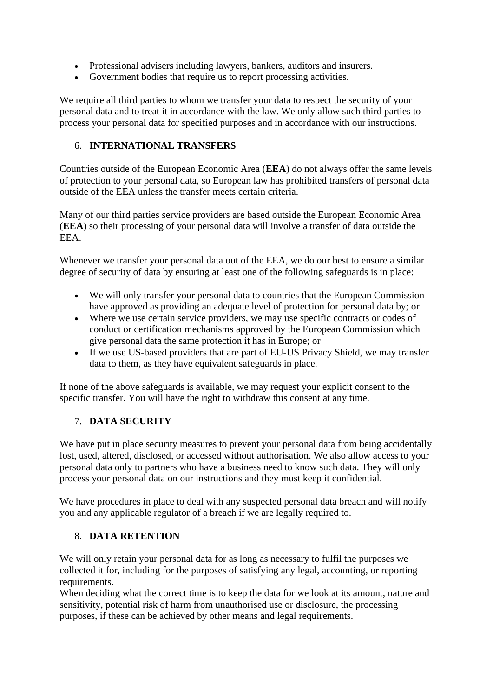- Professional advisers including lawyers, bankers, auditors and insurers.
- Government bodies that require us to report processing activities.

We require all third parties to whom we transfer your data to respect the security of your personal data and to treat it in accordance with the law. We only allow such third parties to process your personal data for specified purposes and in accordance with our instructions.

## 6. **INTERNATIONAL TRANSFERS**

Countries outside of the European Economic Area (**EEA**) do not always offer the same levels of protection to your personal data, so European law has prohibited transfers of personal data outside of the EEA unless the transfer meets certain criteria.

Many of our third parties service providers are based outside the European Economic Area (**EEA**) so their processing of your personal data will involve a transfer of data outside the EEA.

Whenever we transfer your personal data out of the EEA, we do our best to ensure a similar degree of security of data by ensuring at least one of the following safeguards is in place:

- We will only transfer your personal data to countries that the European Commission have approved as providing an adequate level of protection for personal data by; or
- Where we use certain service providers, we may use specific contracts or codes of conduct or certification mechanisms approved by the European Commission which give personal data the same protection it has in Europe; or
- If we use US-based providers that are part of EU-US Privacy Shield, we may transfer data to them, as they have equivalent safeguards in place.

If none of the above safeguards is available, we may request your explicit consent to the specific transfer. You will have the right to withdraw this consent at any time.

## 7. **DATA SECURITY**

We have put in place security measures to prevent your personal data from being accidentally lost, used, altered, disclosed, or accessed without authorisation. We also allow access to your personal data only to partners who have a business need to know such data. They will only process your personal data on our instructions and they must keep it confidential.

We have procedures in place to deal with any suspected personal data breach and will notify you and any applicable regulator of a breach if we are legally required to.

### 8. **DATA RETENTION**

We will only retain your personal data for as long as necessary to fulfil the purposes we collected it for, including for the purposes of satisfying any legal, accounting, or reporting requirements.

When deciding what the correct time is to keep the data for we look at its amount, nature and sensitivity, potential risk of harm from unauthorised use or disclosure, the processing purposes, if these can be achieved by other means and legal requirements.